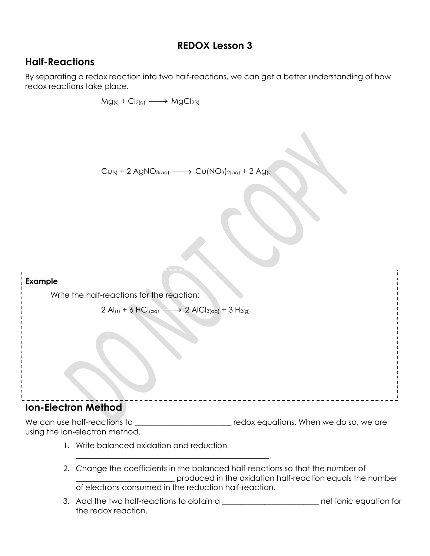# **REDOX Lesson 3**

## **Half-Reactions**

By separating a redox reaction into two half-reactions, we can get a better understanding of how redox reactions take place.

 $Mg(s) + Cl_{2(g)} \longrightarrow MgCl_{2(s)}$  $CU_{(s)} + 2 AgNO_{3(aq)} \longrightarrow Cu(NO_{3})_{2(aq)} + 2 Ag_{(s)}$ **Example** Write the half-reactions for the reaction:  $2$  Al<sub>(s)</sub> + 6 HCl<sub>(aq)</sub> –  $\longrightarrow$  2 AlCl<sub>3(aq)</sub> + 3 H<sub>2(g)</sub> \_\_\_\_\_\_\_\_\_\_\_\_\_\_\_\_\_\_\_\_\_\_\_ **Ion-Electron Method** We can use half-reactions to \_\_\_\_\_\_\_\_\_\_\_\_\_\_\_\_\_\_\_\_\_\_\_\_\_\_\_redox equations. When we do so, we are using the ion-electron method. 1. Write balanced oxidation and reduction  $\mathcal{L}_\text{max}$  and  $\mathcal{L}_\text{max}$  and  $\mathcal{L}_\text{max}$  and  $\mathcal{L}_\text{max}$  and  $\mathcal{L}_\text{max}$ 

- 2. Change the coefficients in the balanced half-reactions so that the number of \_\_\_\_\_\_\_\_\_\_\_\_\_\_\_\_\_\_\_\_\_\_\_\_\_ produced in the oxidation half-reaction equals the number of electrons consumed in the reduction half-reaction.
- 3. Add the two half-reactions to obtain a \_\_\_\_\_\_\_\_\_\_\_\_\_\_\_\_\_\_\_\_\_\_\_\_\_ net ionic equation for the redox reaction.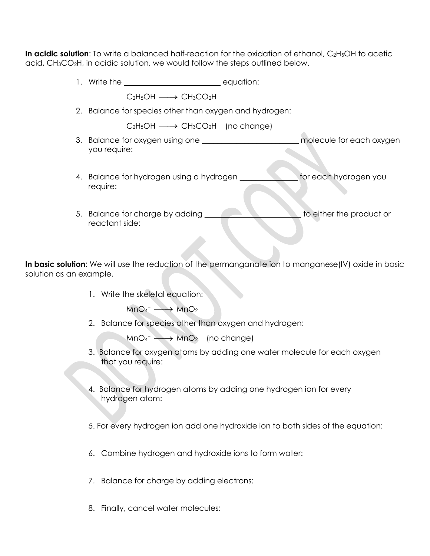**In acidic solution**: To write a balanced half-reaction for the oxidation of ethanol, C<sub>2</sub>H<sub>5</sub>OH to acetic acid, CH3CO2H, in acidic solution, we would follow the steps outlined below.

- 1. Write the **Example 20** and the control of the equation:
	- $C_2H_5OH \longrightarrow CH_3CO_2H$
- 2. Balance for species other than oxygen and hydrogen:
	- $C_2H_5OH \longrightarrow CH_3CO_2H$  (no change)
- 3. Balance for oxygen using one the same molecule for each oxygen you require:
- 4. Balance for hydrogen using a hydrogen \_\_\_\_\_\_\_\_\_\_\_\_\_\_\_ for each hydrogen you require:
- 5. Balance for charge by adding the state of the product or reactant side:

In basic solution: We will use the reduction of the permanganate ion to manganese(IV) oxide in basic solution as an example.

1. Write the skeletal equation:

 $MnO<sub>4</sub> \longrightarrow MnO<sub>2</sub>$ 

2. Balance for species other than oxygen and hydrogen:

 $MnO<sub>4</sub> \longrightarrow MnO<sub>2</sub>$  (no change)

- 3. Balance for oxygen atoms by adding one water molecule for each oxygen that you require:
- 4. Balance for hydrogen atoms by adding one hydrogen ion for every hydrogen atom:
- 5. For every hydrogen ion add one hydroxide ion to both sides of the equation:
- 6. Combine hydrogen and hydroxide ions to form water:
- 7. Balance for charge by adding electrons:
- 8. Finally, cancel water molecules: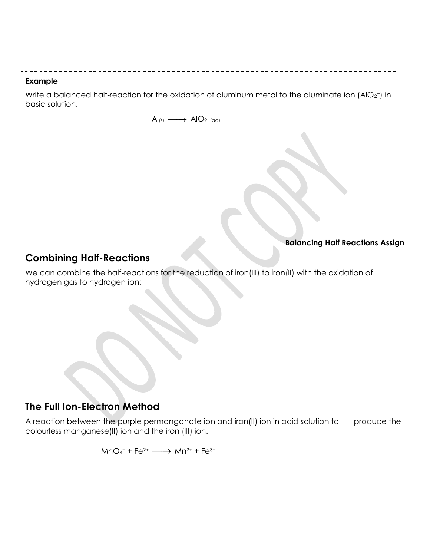#### **Example**

Write a balanced half-reaction for the oxidation of aluminum metal to the aluminate ion (AlO2<sup>-</sup>) in basic solution.

 $\text{Al}(s) \longrightarrow \text{AlO}_2^{-1}(\text{aq})$ 

**Balancing Half Reactions Assign**

# **Combining Half-Reactions**

We can combine the half-reactions for the reduction of iron(III) to iron(II) with the oxidation of hydrogen gas to hydrogen ion:

## **The Full Ion-Electron Method**

A reaction between the purple permanganate ion and iron(II) ion in acid solution to produce the colourless manganese(II) ion and the iron (III) ion.

 $MnO_4^-$  + Fe<sup>2+</sup>  $\longrightarrow$   $Mn^{2+}$  + Fe<sup>3+</sup>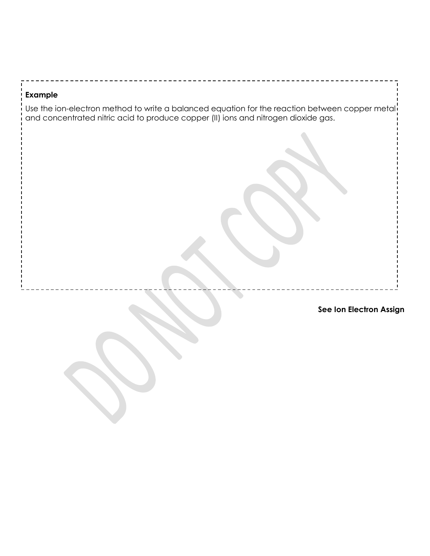#### **Example**

Use the ion-electron method to write a balanced equation for the reaction between copper metal and concentrated nitric acid to produce copper (II) ions and nitrogen dioxide gas.

**See Ion Electron Assign**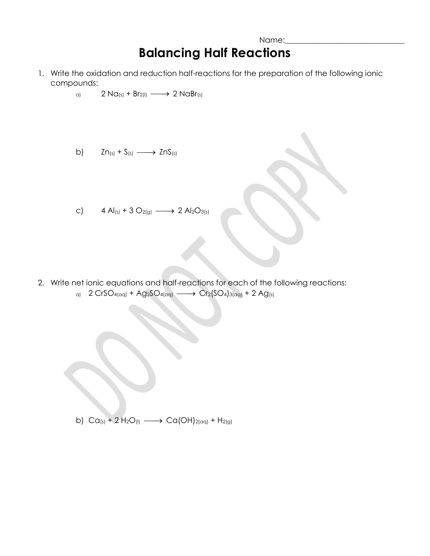# **Balancing Half Reactions**

- 1. Write the oxidation and reduction half-reactions for the preparation of the following ionic compounds:
	- a)  $2 \text{ Na}(s) + \text{Br}_{2(1)} \longrightarrow 2 \text{ NaBr}(s)$
	- b)  $Zn_{(s)} + S_{(s)} \longrightarrow ZnS_{(s)}$
	- c)  $4 \text{ Al}_{(s)} + 3 \text{ O}_{(s)} \longrightarrow 2 \text{ Al}_{2}\text{O}_{(s)}$

2. Write net ionic equations and half-reactions for each of the following reactions: a)  $2 CrSO_{4(\text{eq})} + Ag_{2}SO_{4(\text{eq})} \longrightarrow$  Cr<sub>2</sub>(SO<sub>4</sub>)<sub>3(aq)</sub> + 2 Ag<sub>(s)</sub>

b)  $Ca_{(s)} + 2H_2O_{(l)} \longrightarrow Ca(OH)_{2(aq)} + H_{2(g)}$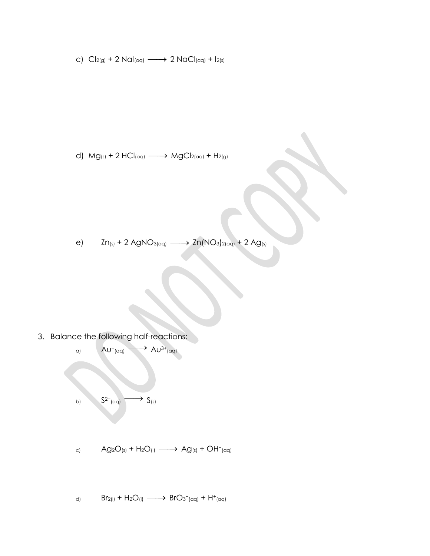c)  $Cl_{2(g)} + 2$  Na $I_{(aq)} \longrightarrow 2$  NaC $I_{(aq)} + I_{2(s)}$ 

d)  $Mg_{(s)} + 2 HCl_{(aq)} \longrightarrow MgCl_{2(aq)} + H_{2(g)}$ 

e)  $Zn_{(s)} + 2$  AgNO<sub>3(aq)</sub>  $\longrightarrow Zn(NO_3)_{2(aq)} + 2$  Ag<sub>(s)</sub>

3. Balance the following half-reactions:



d)  $\text{Br}_{2(1)} + \text{H}_2\text{O}_{(1)} \longrightarrow \text{BrO}_{3^-(\text{qq})} + \text{H}^+(\text{qq})$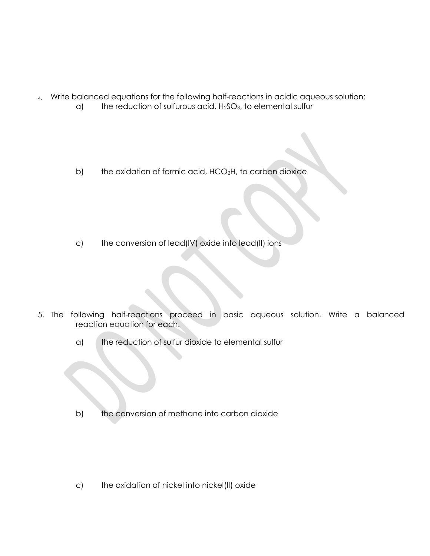- 4. Write balanced equations for the following half-reactions in acidic aqueous solution:
	- $a$ ) the reduction of sulfurous acid,  $H<sub>2</sub>SO<sub>3</sub>$ , to elemental sulfur
	- b) the oxidation of formic acid, HCO<sub>2</sub>H, to carbon dioxide

c) the conversion of lead(IV) oxide into lead(II) ions

- 5. The following half-reactions proceed in basic aqueous solution. Write a balanced reaction equation for each.
	- a) the reduction of sulfur dioxide to elemental sulfur

b) the conversion of methane into carbon dioxide

c) the oxidation of nickel into nickel(II) oxide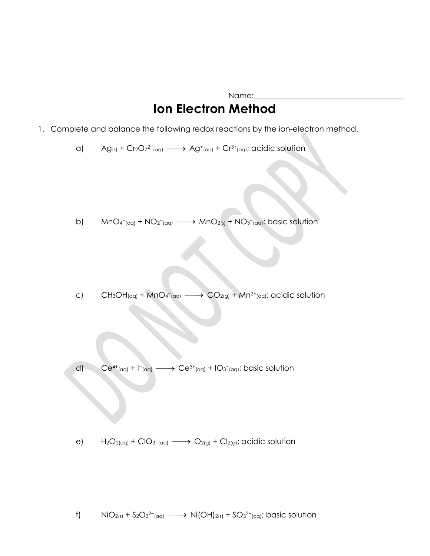# Name: **Ion Electron Method**

- 1. Complete and balance the following redox reactions by the ion-electron method.
	- a)  $\text{Ag}_{(s)}$  + Cr<sub>2</sub>O<sub>7</sub><sup>2-</sup>(aq)  $\longrightarrow$  Ag<sup>+</sup>(aq) + Cr<sup>3+</sup>(aq); acidic solution

b)  $MnO_{4}^{-}$ (aq) +  $NO_{2}^{-}$ (aq)  $\longrightarrow MnO_{2(s)} + NO_{3}^{-}$ (aq): basic solution

c)  $CH_3OH_{(qq)} + MnO_4(gq)}$  $\longrightarrow$  CO<sub>2(g)</sub> + Mn<sup>2+</sup>(aq); acidic solution

d)  $Ce^{4+}(aq) + 1-(aq)$  $\longrightarrow$  Ce<sup>3+</sup>(aq) + IO<sub>3</sub><sup>-</sup>(aq); basic solution

e)  $H_2O_{2(aq)} + ClO_{3(aq)} \longrightarrow O_{2(q)} + Cl_{2(q)}$ ; acidic solution

f) NiO<sub>2(s)</sub> + S<sub>2</sub>O<sub>3</sub><sup>2-</sup><sub>(aq)</sub>  $\longrightarrow$  Ni(OH)<sub>2(s)</sub> + SO<sub>3</sub><sup>2-</sup>(aq); basic solution